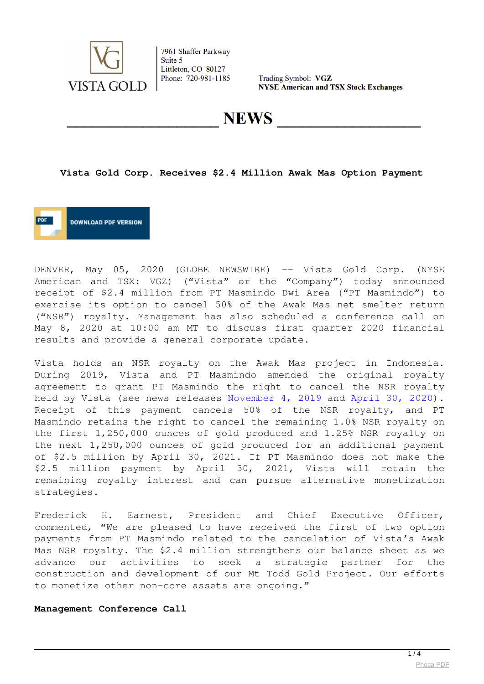

7961 Shaffer Parkway Suite 5 Littleton, CO 80127 Phone: 720-981-1185

Trading Symbol: VGZ **NYSE American and TSX Stock Exchanges** 

**NEWS** 

**Vista Gold Corp. Receives \$2.4 Million Awak Mas Option Payment**



DENVER, May 05, 2020 (GLOBE NEWSWIRE) -- Vista Gold Corp. (NYSE American and TSX: VGZ) ("Vista" or the "Company") today announced receipt of \$2.4 million from PT Masmindo Dwi Area ("PT Masmindo") to exercise its option to cancel 50% of the Awak Mas net smelter return ("NSR") royalty. Management has also scheduled a conference call on May 8, 2020 at 10:00 am MT to discuss first quarter 2020 financial results and provide a general corporate update.

Vista holds an NSR royalty on the Awak Mas project in Indonesia. During 2019, Vista and PT Masmindo amended the original royalty agreement to grant PT Masmindo the right to cancel the NSR royalty held by Vista (see news releases [November 4, 2019](https://www.globenewswire.com/Tracker?data=yzWW7zIEGp7iGSbWwhlBtyUhD_kmka8jzMT__Nao9886JfWwDSsXx1YzA6motXEAG352jYFDcVNQqYMK3oKZcdOy5Qgiq1vLvHhwvbFUXdpXr7MLlMCszqPrUaFMefC6dkZFPBE2u9Yi7Bun9nCM3EMcbvX-KeFme70OeaFys3zWsFo2VjBJJAh7mscTXNPomNqArkxzK1I3Id6pMpjne8Sba_H2crkvJPdu0TycR0B_GOH_5n9pG1JQ0DT3-AtR) and [April 30, 2020\)](https://www.globenewswire.com/Tracker?data=6eoqR6g_8z6Xge3u-gdhUBPViuWW-LW3Me7olSTvezhQy0RMFDXlC-eJAMTktq53jIUeTKlynQlJ6ADjHOU_PFhttRlKmXFUrvx11AbAZMAGX7hG4kZOh4GA7m5ZSVn63RHHFleO0HRPUqaHVepk1FBptQydAm4dRF__DEBiRIIfGndlp9vHT8NaDMhsRl9X). Receipt of this payment cancels 50% of the NSR royalty, and PT Masmindo retains the right to cancel the remaining 1.0% NSR royalty on the first 1,250,000 ounces of gold produced and 1.25% NSR royalty on the next 1,250,000 ounces of gold produced for an additional payment of \$2.5 million by April 30, 2021. If PT Masmindo does not make the \$2.5 million payment by April 30, 2021, Vista will retain the remaining royalty interest and can pursue alternative monetization strategies.

Frederick H. Earnest, President and Chief Executive Officer, commented, "We are pleased to have received the first of two option payments from PT Masmindo related to the cancelation of Vista's Awak Mas NSR royalty. The \$2.4 million strengthens our balance sheet as we advance our activities to seek a strategic partner for the construction and development of our Mt Todd Gold Project. Our efforts to monetize other non-core assets are ongoing."

#### **Management Conference Call**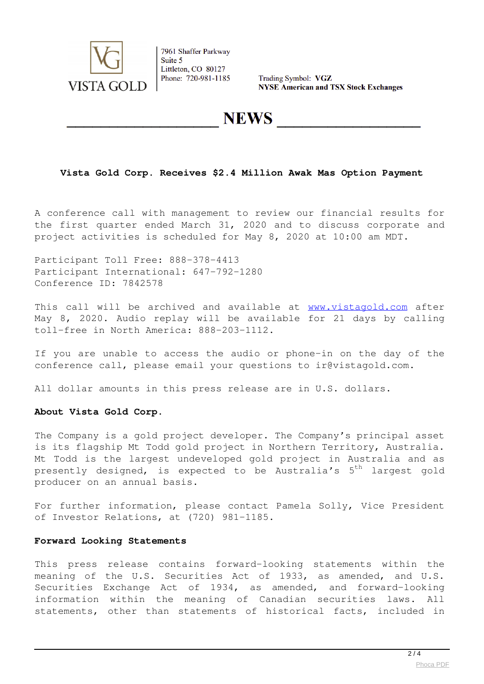

7961 Shaffer Parkway Suite 5 Littleton, CO 80127 Phone: 720-981-1185

Trading Symbol: VGZ **NYSE American and TSX Stock Exchanges** 

## **NEWS**

### **Vista Gold Corp. Receives \$2.4 Million Awak Mas Option Payment**

A conference call with management to review our financial results for the first quarter ended March 31, 2020 and to discuss corporate and project activities is scheduled for May 8, 2020 at 10:00 am MDT.

Participant Toll Free: 888-378-4413 Participant International: 647-792-1280 Conference ID: 7842578

This call will be archived and available at [www.vistagold.com](https://www.globenewswire.com/Tracker?data=-OGxdQWIFybLYr-0W98q7-_HdtYphsezH7-NIR2Gd0L5lASiyF33UwhChJAE6Nww_W3JNRn0gJ0bMT9zBBaHJA==) after May 8, 2020. Audio replay will be available for 21 days by calling toll-free in North America: 888-203-1112.

If you are unable to access the audio or phone-in on the day of the conference call, please email your questions to ir@vistagold.com.

All dollar amounts in this press release are in U.S. dollars.

#### **About Vista Gold Corp.**

The Company is a gold project developer. The Company's principal asset is its flagship Mt Todd gold project in Northern Territory, Australia. Mt Todd is the largest undeveloped gold project in Australia and as presently designed, is expected to be Australia's  $5<sup>th</sup>$  largest gold producer on an annual basis.

For further information, please contact Pamela Solly, Vice President of Investor Relations, at (720) 981-1185.

#### **Forward Looking Statements**

This press release contains forward-looking statements within the meaning of the U.S. Securities Act of 1933, as amended, and U.S. Securities Exchange Act of 1934, as amended, and forward-looking information within the meaning of Canadian securities laws. All statements, other than statements of historical facts, included in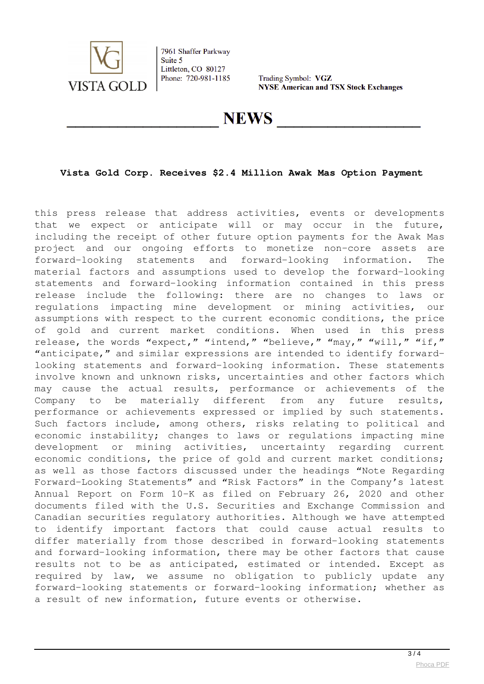

7961 Shaffer Parkway Suite 5 Littleton, CO 80127 Phone: 720-981-1185

Trading Symbol: VGZ **NYSE American and TSX Stock Exchanges** 

**NEWS** 

### **Vista Gold Corp. Receives \$2.4 Million Awak Mas Option Payment**

this press release that address activities, events or developments that we expect or anticipate will or may occur in the future, including the receipt of other future option payments for the Awak Mas project and our ongoing efforts to monetize non-core assets are forward-looking statements and forward-looking information. The material factors and assumptions used to develop the forward-looking statements and forward-looking information contained in this press release include the following: there are no changes to laws or regulations impacting mine development or mining activities, our assumptions with respect to the current economic conditions, the price of gold and current market conditions. When used in this press release, the words "expect," "intend," "believe," "may," "will," "if," "anticipate," and similar expressions are intended to identify forwardlooking statements and forward-looking information. These statements involve known and unknown risks, uncertainties and other factors which may cause the actual results, performance or achievements of the Company to be materially different from any future results, performance or achievements expressed or implied by such statements. Such factors include, among others, risks relating to political and economic instability; changes to laws or regulations impacting mine development or mining activities, uncertainty regarding current economic conditions, the price of gold and current market conditions; as well as those factors discussed under the headings "Note Regarding Forward-Looking Statements" and "Risk Factors" in the Company's latest Annual Report on Form 10-K as filed on February 26, 2020 and other documents filed with the U.S. Securities and Exchange Commission and Canadian securities regulatory authorities. Although we have attempted to identify important factors that could cause actual results to differ materially from those described in forward-looking statements and forward-looking information, there may be other factors that cause results not to be as anticipated, estimated or intended. Except as required by law, we assume no obligation to publicly update any forward-looking statements or forward-looking information; whether as a result of new information, future events or otherwise.